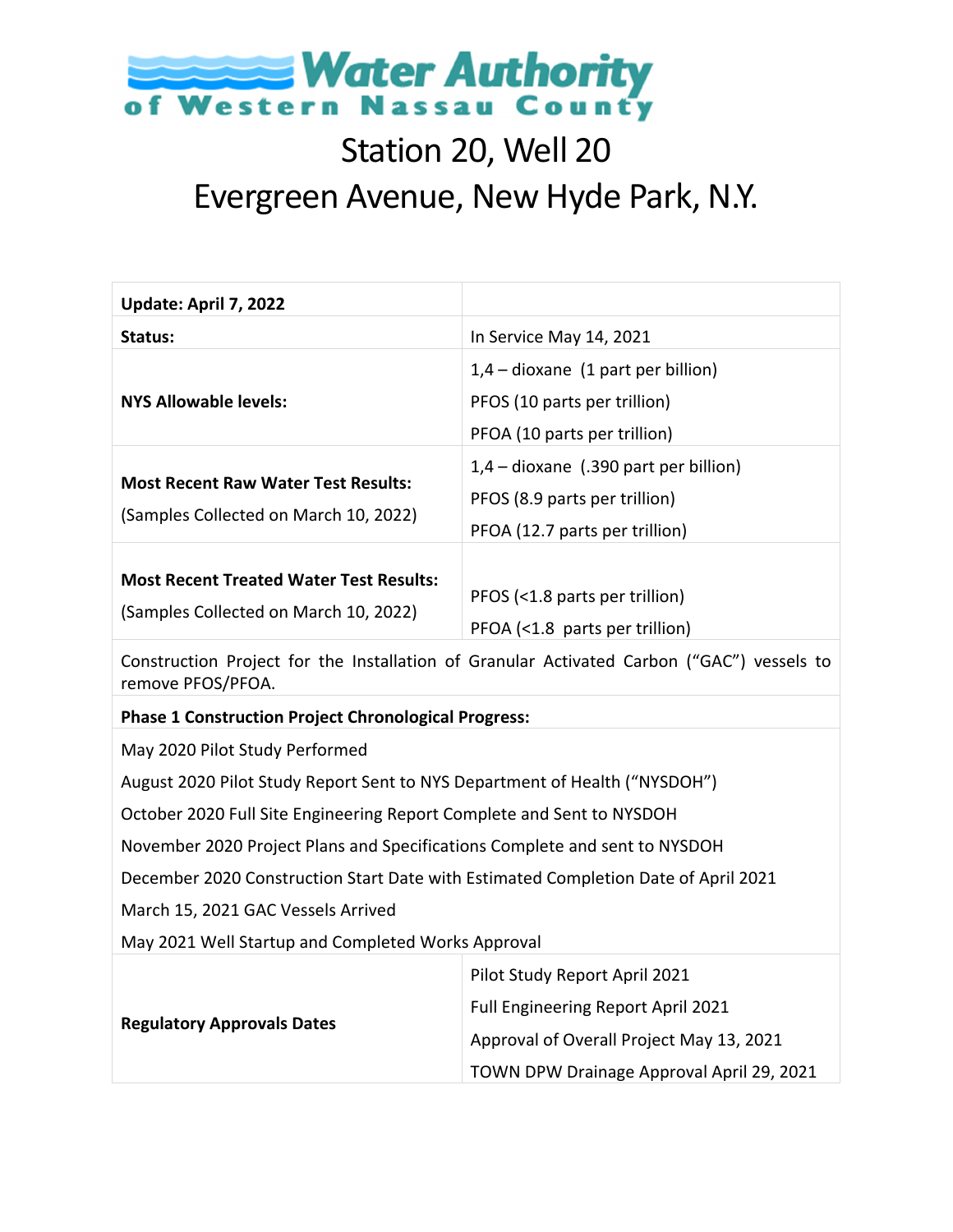

### Station 20, Well 20 Evergreen Avenue, New Hyde Park, N.Y.

| Update: April 7, 2022                                                                   |                                                                                                                                                              |
|-----------------------------------------------------------------------------------------|--------------------------------------------------------------------------------------------------------------------------------------------------------------|
| Status:                                                                                 | In Service May 14, 2021                                                                                                                                      |
| <b>NYS Allowable levels:</b>                                                            | $1,4$ – dioxane (1 part per billion)<br>PFOS (10 parts per trillion)<br>PFOA (10 parts per trillion)                                                         |
| <b>Most Recent Raw Water Test Results:</b><br>(Samples Collected on March 10, 2022)     | $1,4$ – dioxane (.390 part per billion)<br>PFOS (8.9 parts per trillion)<br>PFOA (12.7 parts per trillion)                                                   |
| <b>Most Recent Treated Water Test Results:</b><br>(Samples Collected on March 10, 2022) | PFOS (<1.8 parts per trillion)<br>PFOA (<1.8 parts per trillion)                                                                                             |
| remove PFOS/PFOA.                                                                       | Construction Project for the Installation of Granular Activated Carbon ("GAC") vessels to                                                                    |
| <b>Phase 1 Construction Project Chronological Progress:</b>                             |                                                                                                                                                              |
| May 2020 Pilot Study Performed                                                          |                                                                                                                                                              |
| August 2020 Pilot Study Report Sent to NYS Department of Health ("NYSDOH")              |                                                                                                                                                              |
| October 2020 Full Site Engineering Report Complete and Sent to NYSDOH                   |                                                                                                                                                              |
| November 2020 Project Plans and Specifications Complete and sent to NYSDOH              |                                                                                                                                                              |
| December 2020 Construction Start Date with Estimated Completion Date of April 2021      |                                                                                                                                                              |
| March 15, 2021 GAC Vessels Arrived                                                      |                                                                                                                                                              |
| May 2021 Well Startup and Completed Works Approval                                      |                                                                                                                                                              |
| <b>Regulatory Approvals Dates</b>                                                       | Pilot Study Report April 2021<br>Full Engineering Report April 2021<br>Approval of Overall Project May 13, 2021<br>TOWN DPW Drainage Approval April 29, 2021 |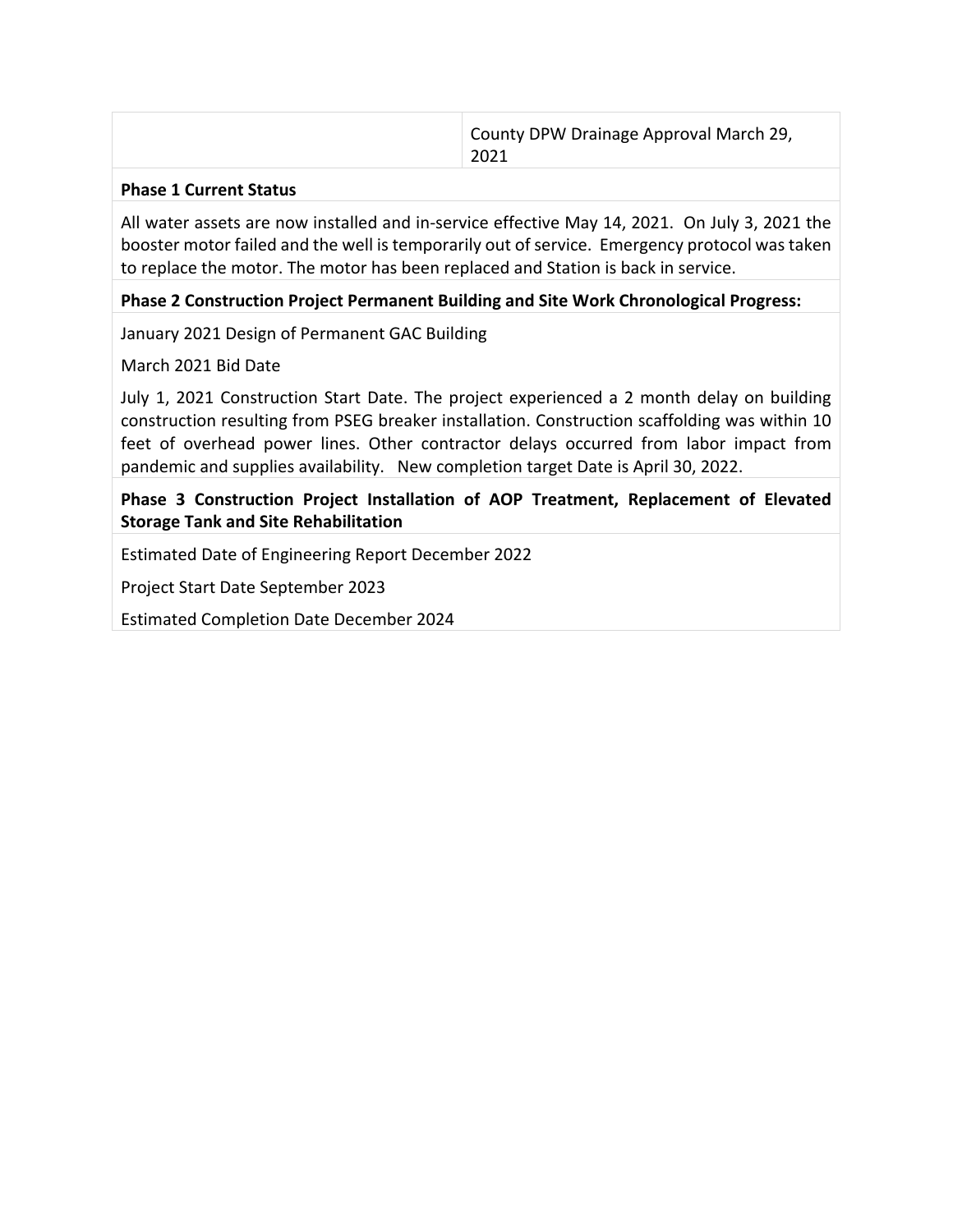| County DPW Drainage Approval March 29,<br>2021 |
|------------------------------------------------|
|                                                |

#### **Phase 1 Current Status**

All water assets are now installed and in‐service effective May 14, 2021. On July 3, 2021 the booster motor failed and the well is temporarily out of service. Emergency protocol was taken to replace the motor. The motor has been replaced and Station is back in service.

### **Phase 2 Construction Project Permanent Building and Site Work Chronological Progress:**

January 2021 Design of Permanent GAC Building

March 2021 Bid Date

July 1, 2021 Construction Start Date. The project experienced a 2 month delay on building construction resulting from PSEG breaker installation. Construction scaffolding was within 10 feet of overhead power lines. Other contractor delays occurred from labor impact from pandemic and supplies availability. New completion target Date is April 30, 2022.

**Phase 3 Construction Project Installation of AOP Treatment, Replacement of Elevated Storage Tank and Site Rehabilitation**

Estimated Date of Engineering Report December 2022

Project Start Date September 2023

Estimated Completion Date December 2024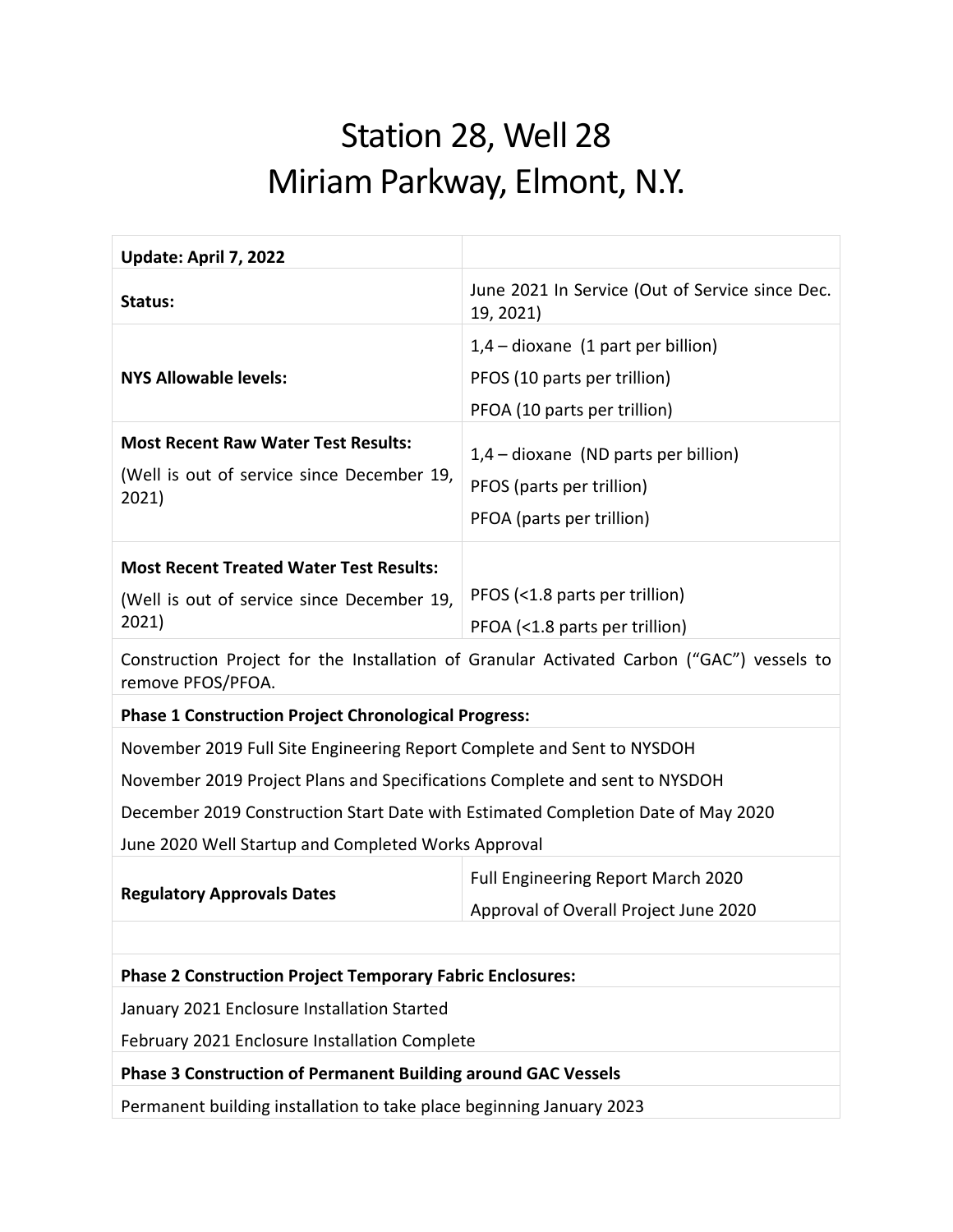# Station 28, Well 28 Miriam Parkway, Elmont, N.Y.

| Update: April 7, 2022                                                            |                                                                                           |
|----------------------------------------------------------------------------------|-------------------------------------------------------------------------------------------|
| Status:                                                                          | June 2021 In Service (Out of Service since Dec.<br>19, 2021)                              |
|                                                                                  | $1,4$ – dioxane (1 part per billion)                                                      |
| <b>NYS Allowable levels:</b>                                                     | PFOS (10 parts per trillion)                                                              |
|                                                                                  | PFOA (10 parts per trillion)                                                              |
| <b>Most Recent Raw Water Test Results:</b>                                       | $1,4$ – dioxane (ND parts per billion)                                                    |
| (Well is out of service since December 19,                                       | PFOS (parts per trillion)                                                                 |
| 2021)                                                                            | PFOA (parts per trillion)                                                                 |
|                                                                                  |                                                                                           |
| <b>Most Recent Treated Water Test Results:</b>                                   |                                                                                           |
| (Well is out of service since December 19,                                       | PFOS (<1.8 parts per trillion)                                                            |
| 2021)                                                                            | PFOA (<1.8 parts per trillion)                                                            |
| remove PFOS/PFOA.                                                                | Construction Project for the Installation of Granular Activated Carbon ("GAC") vessels to |
| <b>Phase 1 Construction Project Chronological Progress:</b>                      |                                                                                           |
| November 2019 Full Site Engineering Report Complete and Sent to NYSDOH           |                                                                                           |
| November 2019 Project Plans and Specifications Complete and sent to NYSDOH       |                                                                                           |
| December 2019 Construction Start Date with Estimated Completion Date of May 2020 |                                                                                           |
| June 2020 Well Startup and Completed Works Approval                              |                                                                                           |
|                                                                                  | <b>Full Engineering Report March 2020</b>                                                 |
| <b>Regulatory Approvals Dates</b>                                                | Approval of Overall Project June 2020                                                     |
|                                                                                  |                                                                                           |
| <b>Phase 2 Construction Project Temporary Fabric Enclosures:</b>                 |                                                                                           |
| January 2021 Enclosure Installation Started                                      |                                                                                           |
| February 2021 Enclosure Installation Complete                                    |                                                                                           |
| <b>Phase 3 Construction of Permanent Building around GAC Vessels</b>             |                                                                                           |
| Permanent building installation to take place beginning January 2023             |                                                                                           |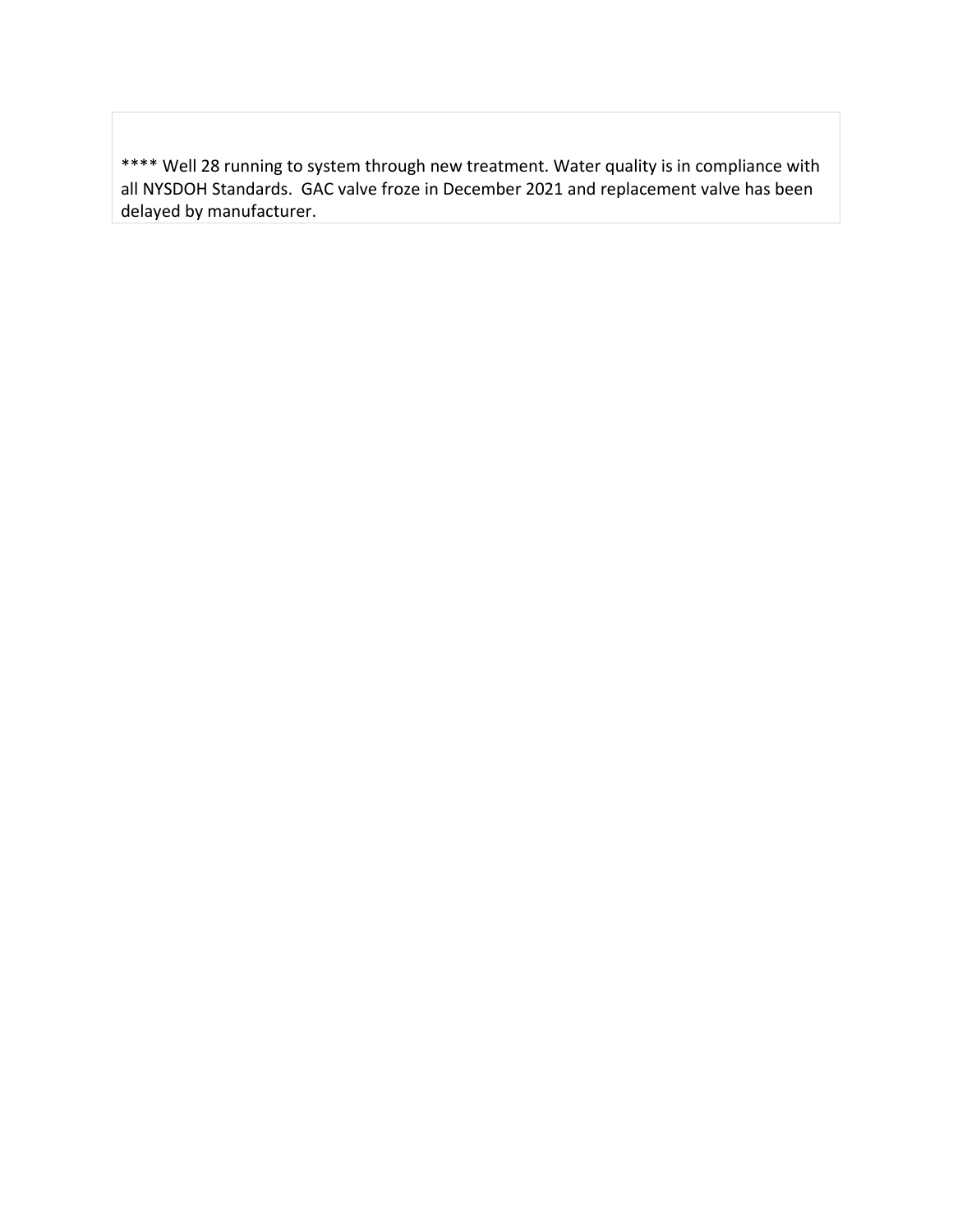\*\*\*\* Well 28 running to system through new treatment. Water quality is in compliance with all NYSDOH Standards. GAC valve froze in December 2021 and replacement valve has been delayed by manufacturer.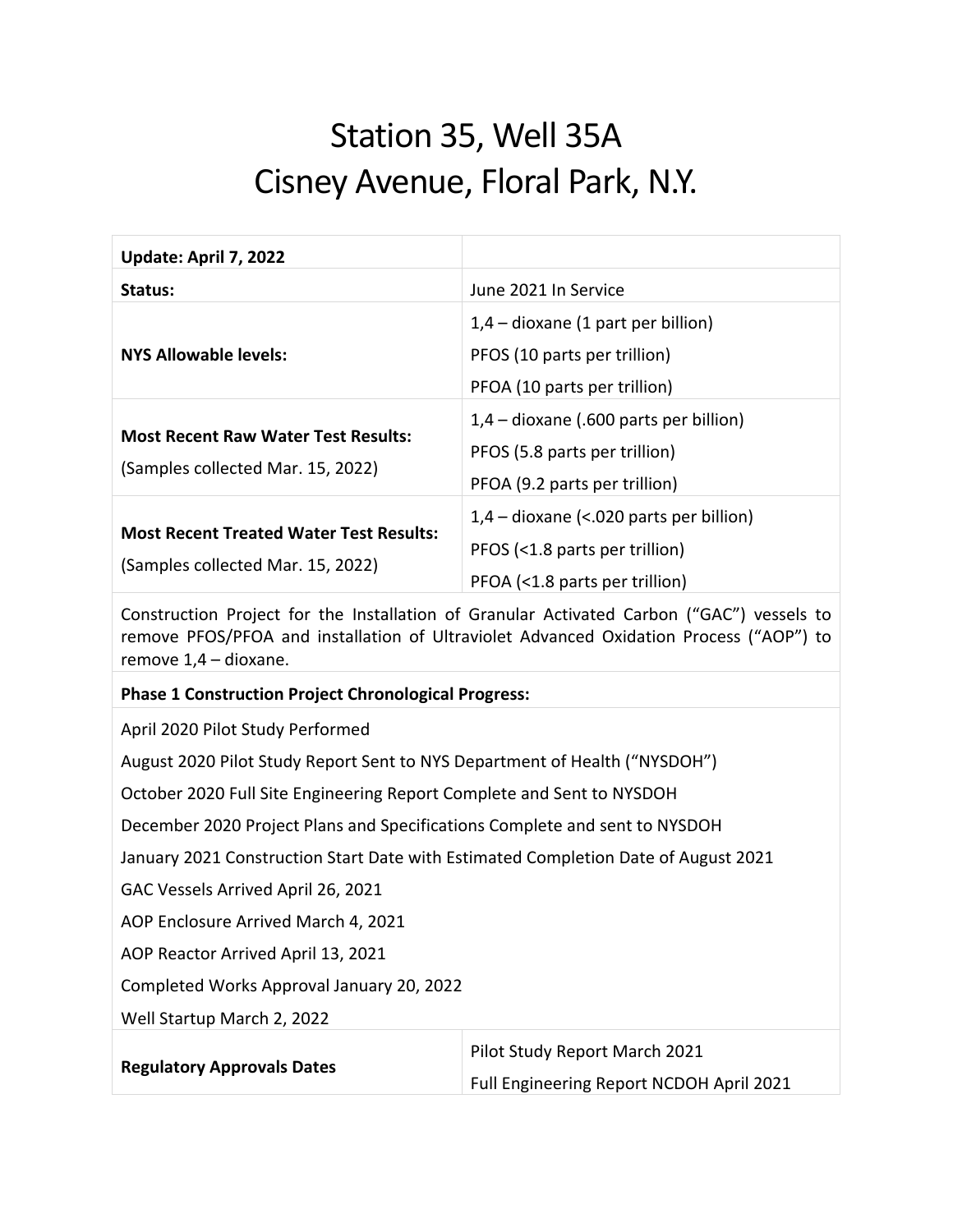# Station 35, Well 35A Cisney Avenue, Floral Park, N.Y.

| Update: April 7, 2022                                                                                                                                                                                        |                                           |
|--------------------------------------------------------------------------------------------------------------------------------------------------------------------------------------------------------------|-------------------------------------------|
| Status:                                                                                                                                                                                                      | June 2021 In Service                      |
|                                                                                                                                                                                                              | $1,4$ – dioxane (1 part per billion)      |
| <b>NYS Allowable levels:</b>                                                                                                                                                                                 | PFOS (10 parts per trillion)              |
|                                                                                                                                                                                                              | PFOA (10 parts per trillion)              |
|                                                                                                                                                                                                              | $1,4$ – dioxane (.600 parts per billion)  |
| <b>Most Recent Raw Water Test Results:</b>                                                                                                                                                                   | PFOS (5.8 parts per trillion)             |
| (Samples collected Mar. 15, 2022)                                                                                                                                                                            | PFOA (9.2 parts per trillion)             |
|                                                                                                                                                                                                              | $1,4$ – dioxane (<.020 parts per billion) |
| <b>Most Recent Treated Water Test Results:</b>                                                                                                                                                               | PFOS (<1.8 parts per trillion)            |
| (Samples collected Mar. 15, 2022)                                                                                                                                                                            | PFOA (<1.8 parts per trillion)            |
| Construction Project for the Installation of Granular Activated Carbon ("GAC") vessels to<br>remove PFOS/PFOA and installation of Ultraviolet Advanced Oxidation Process ("AOP") to<br>remove 1,4 - dioxane. |                                           |
|                                                                                                                                                                                                              |                                           |
| <b>Phase 1 Construction Project Chronological Progress:</b>                                                                                                                                                  |                                           |
| April 2020 Pilot Study Performed                                                                                                                                                                             |                                           |
| August 2020 Pilot Study Report Sent to NYS Department of Health ("NYSDOH")                                                                                                                                   |                                           |
| October 2020 Full Site Engineering Report Complete and Sent to NYSDOH                                                                                                                                        |                                           |
| December 2020 Project Plans and Specifications Complete and sent to NYSDOH                                                                                                                                   |                                           |
| January 2021 Construction Start Date with Estimated Completion Date of August 2021                                                                                                                           |                                           |
| GAC Vessels Arrived April 26, 2021                                                                                                                                                                           |                                           |
| AOP Enclosure Arrived March 4, 2021                                                                                                                                                                          |                                           |
| AOP Reactor Arrived April 13, 2021                                                                                                                                                                           |                                           |
| Completed Works Approval January 20, 2022                                                                                                                                                                    |                                           |
| Well Startup March 2, 2022                                                                                                                                                                                   |                                           |
| <b>Regulatory Approvals Dates</b>                                                                                                                                                                            | Pilot Study Report March 2021             |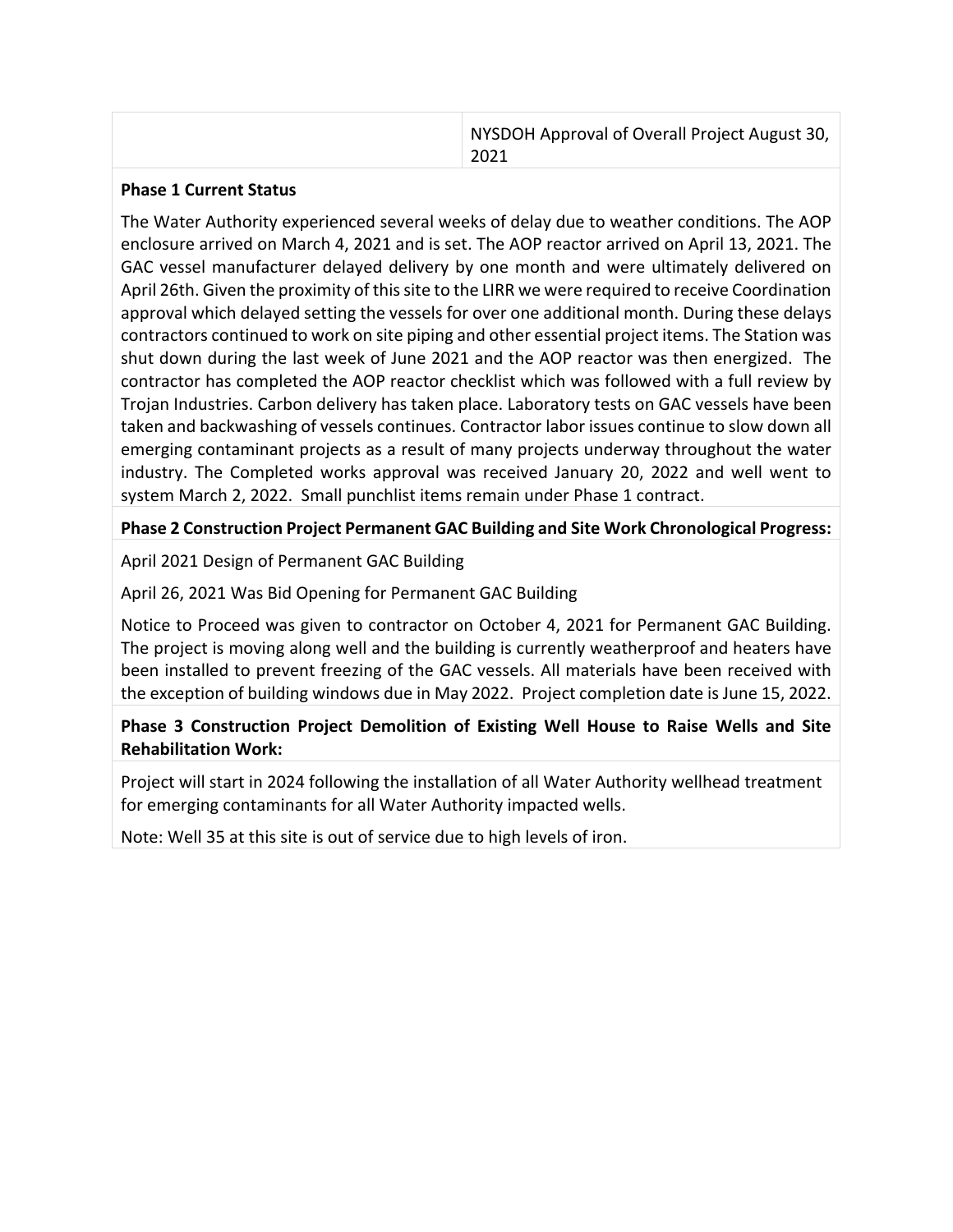| NYSDOH Approval of Overall Project August 30,<br>2021 |
|-------------------------------------------------------|
|                                                       |

#### **Phase 1 Current Status**

The Water Authority experienced several weeks of delay due to weather conditions. The AOP enclosure arrived on March 4, 2021 and is set. The AOP reactor arrived on April 13, 2021. The GAC vessel manufacturer delayed delivery by one month and were ultimately delivered on April 26th. Given the proximity of thissite to the LIRR we were required to receive Coordination approval which delayed setting the vessels for over one additional month. During these delays contractors continued to work on site piping and other essential project items. The Station was shut down during the last week of June 2021 and the AOP reactor was then energized. The contractor has completed the AOP reactor checklist which was followed with a full review by Trojan Industries. Carbon delivery has taken place. Laboratory tests on GAC vessels have been taken and backwashing of vessels continues. Contractor labor issues continue to slow down all emerging contaminant projects as a result of many projects underway throughout the water industry. The Completed works approval was received January 20, 2022 and well went to system March 2, 2022. Small punchlist items remain under Phase 1 contract.

### **Phase 2 Construction Project Permanent GAC Building and Site Work Chronological Progress:**

April 2021 Design of Permanent GAC Building

### April 26, 2021 Was Bid Opening for Permanent GAC Building

Notice to Proceed was given to contractor on October 4, 2021 for Permanent GAC Building. The project is moving along well and the building is currently weatherproof and heaters have been installed to prevent freezing of the GAC vessels. All materials have been received with the exception of building windows due in May 2022. Project completion date is June 15, 2022.

### **Phase 3 Construction Project Demolition of Existing Well House to Raise Wells and Site Rehabilitation Work:**

Project will start in 2024 following the installation of all Water Authority wellhead treatment for emerging contaminants for all Water Authority impacted wells.

Note: Well 35 at this site is out of service due to high levels of iron.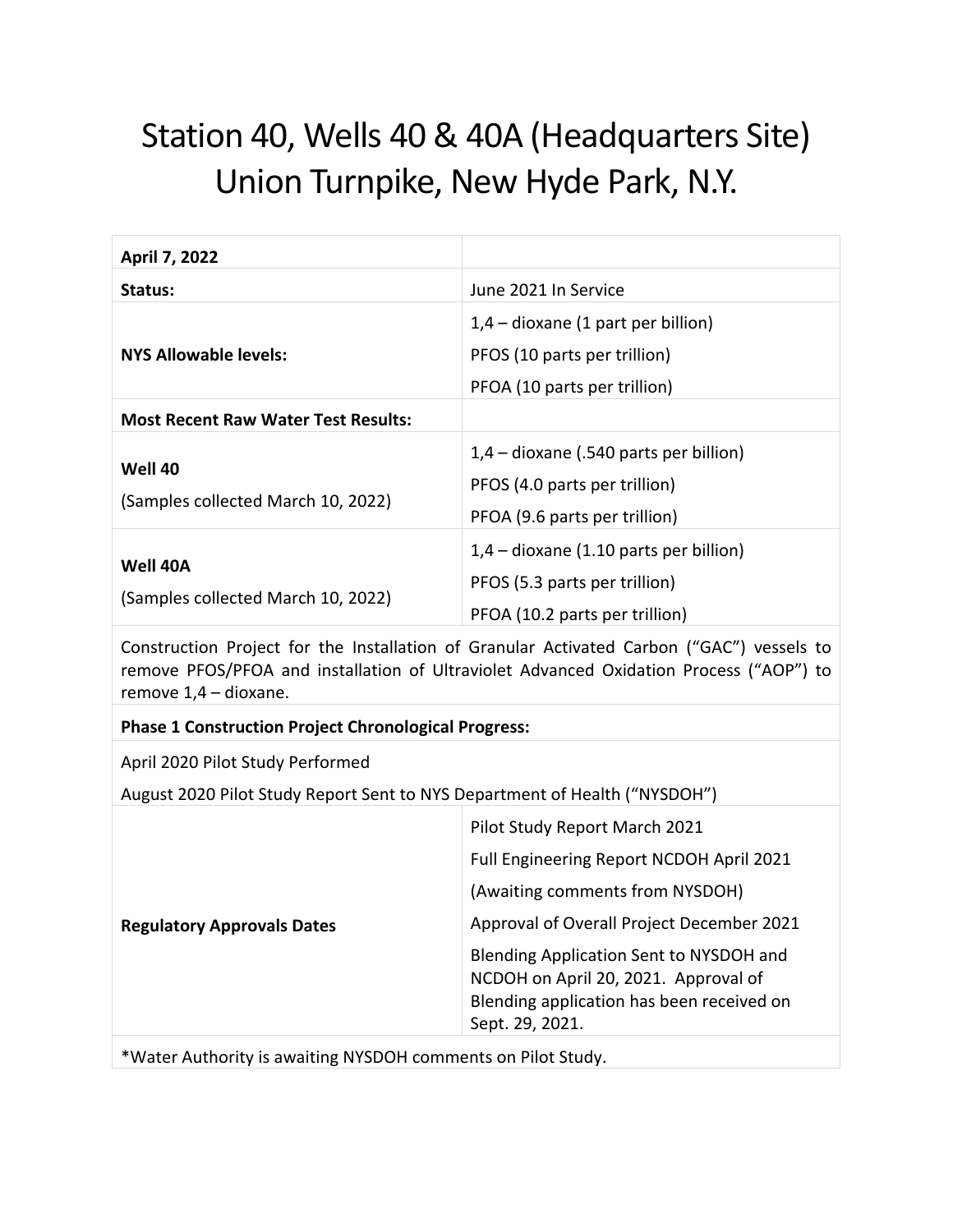# Station 40, Wells 40 & 40A (Headquarters Site) Union Turnpike, New Hyde Park, N.Y.

| April 7, 2022                                                              |                                                                                                                                                                                     |
|----------------------------------------------------------------------------|-------------------------------------------------------------------------------------------------------------------------------------------------------------------------------------|
| Status:                                                                    | June 2021 In Service                                                                                                                                                                |
|                                                                            | $1,4$ – dioxane (1 part per billion)                                                                                                                                                |
| <b>NYS Allowable levels:</b>                                               | PFOS (10 parts per trillion)                                                                                                                                                        |
|                                                                            | PFOA (10 parts per trillion)                                                                                                                                                        |
| <b>Most Recent Raw Water Test Results:</b>                                 |                                                                                                                                                                                     |
|                                                                            | 1,4 - dioxane (.540 parts per billion)                                                                                                                                              |
| Well 40                                                                    | PFOS (4.0 parts per trillion)                                                                                                                                                       |
| (Samples collected March 10, 2022)                                         | PFOA (9.6 parts per trillion)                                                                                                                                                       |
|                                                                            | $1,4$ – dioxane (1.10 parts per billion)                                                                                                                                            |
| Well 40A                                                                   | PFOS (5.3 parts per trillion)                                                                                                                                                       |
| (Samples collected March 10, 2022)                                         | PFOA (10.2 parts per trillion)                                                                                                                                                      |
| remove 1,4 - dioxane.                                                      | Construction Project for the Installation of Granular Activated Carbon ("GAC") vessels to<br>remove PFOS/PFOA and installation of Ultraviolet Advanced Oxidation Process ("AOP") to |
| <b>Phase 1 Construction Project Chronological Progress:</b>                |                                                                                                                                                                                     |
| April 2020 Pilot Study Performed                                           |                                                                                                                                                                                     |
| August 2020 Pilot Study Report Sent to NYS Department of Health ("NYSDOH") |                                                                                                                                                                                     |
| <b>Regulatory Approvals Dates</b>                                          | Pilot Study Report March 2021                                                                                                                                                       |
|                                                                            | Full Engineering Report NCDOH April 2021                                                                                                                                            |
|                                                                            | (Awaiting comments from NYSDOH)                                                                                                                                                     |
|                                                                            | Approval of Overall Project December 2021                                                                                                                                           |
|                                                                            | Blending Application Sent to NYSDOH and<br>NCDOH on April 20, 2021. Approval of<br>Blending application has been received on<br>Sept. 29, 2021.                                     |
|                                                                            |                                                                                                                                                                                     |

\*Water Authority is awaiting NYSDOH comments on Pilot Study.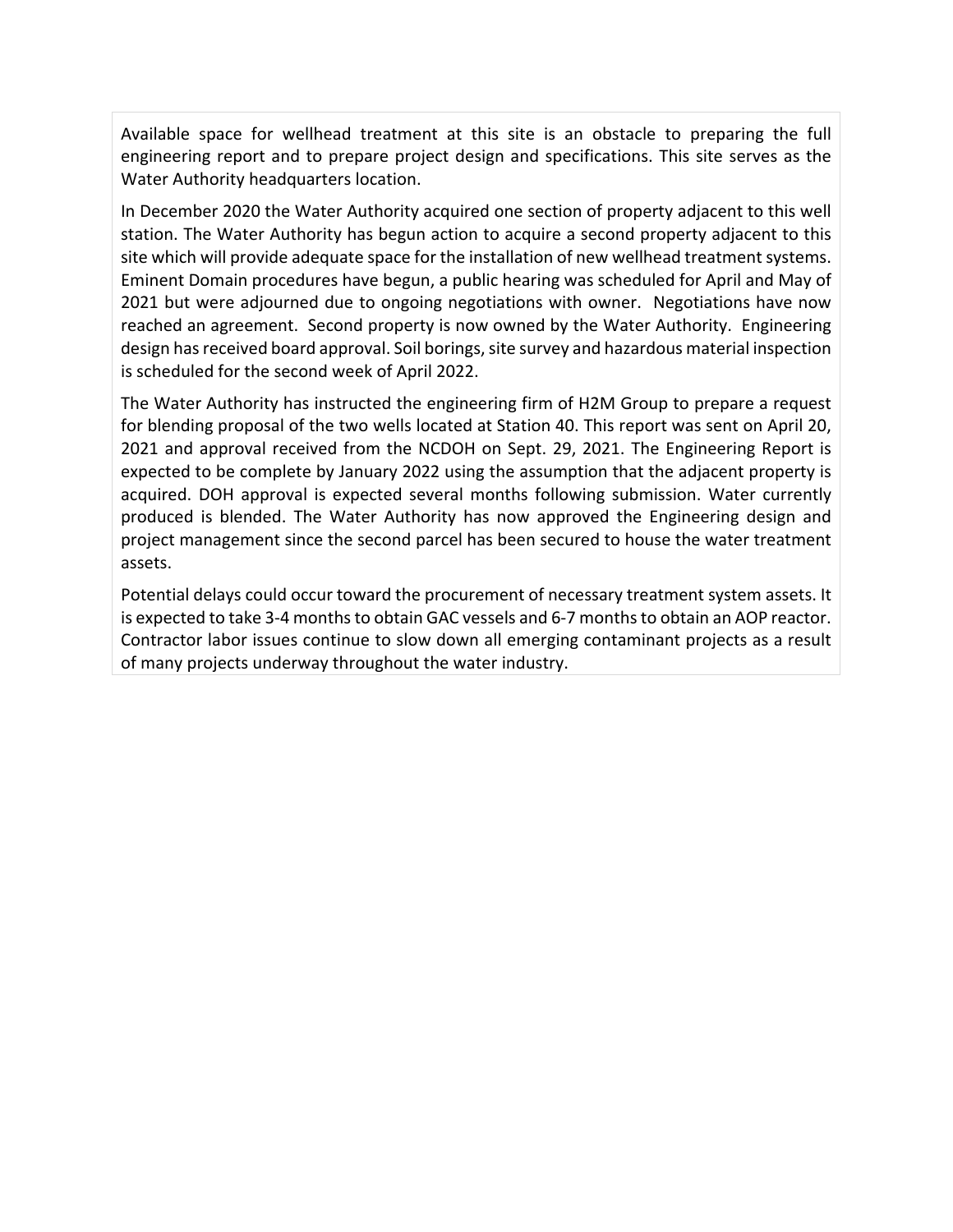Available space for wellhead treatment at this site is an obstacle to preparing the full engineering report and to prepare project design and specifications. This site serves as the Water Authority headquarters location.

In December 2020 the Water Authority acquired one section of property adjacent to this well station. The Water Authority has begun action to acquire a second property adjacent to this site which will provide adequate space for the installation of new wellhead treatment systems. Eminent Domain procedures have begun, a public hearing was scheduled for April and May of 2021 but were adjourned due to ongoing negotiations with owner. Negotiations have now reached an agreement. Second property is now owned by the Water Authority. Engineering design has received board approval. Soil borings, site survey and hazardous material inspection is scheduled for the second week of April 2022.

The Water Authority has instructed the engineering firm of H2M Group to prepare a request for blending proposal of the two wells located at Station 40. This report was sent on April 20, 2021 and approval received from the NCDOH on Sept. 29, 2021. The Engineering Report is expected to be complete by January 2022 using the assumption that the adjacent property is acquired. DOH approval is expected several months following submission. Water currently produced is blended. The Water Authority has now approved the Engineering design and project management since the second parcel has been secured to house the water treatment assets.

Potential delays could occur toward the procurement of necessary treatment system assets. It is expected to take 3-4 months to obtain GAC vessels and 6-7 months to obtain an AOP reactor. Contractor labor issues continue to slow down all emerging contaminant projects as a result of many projects underway throughout the water industry.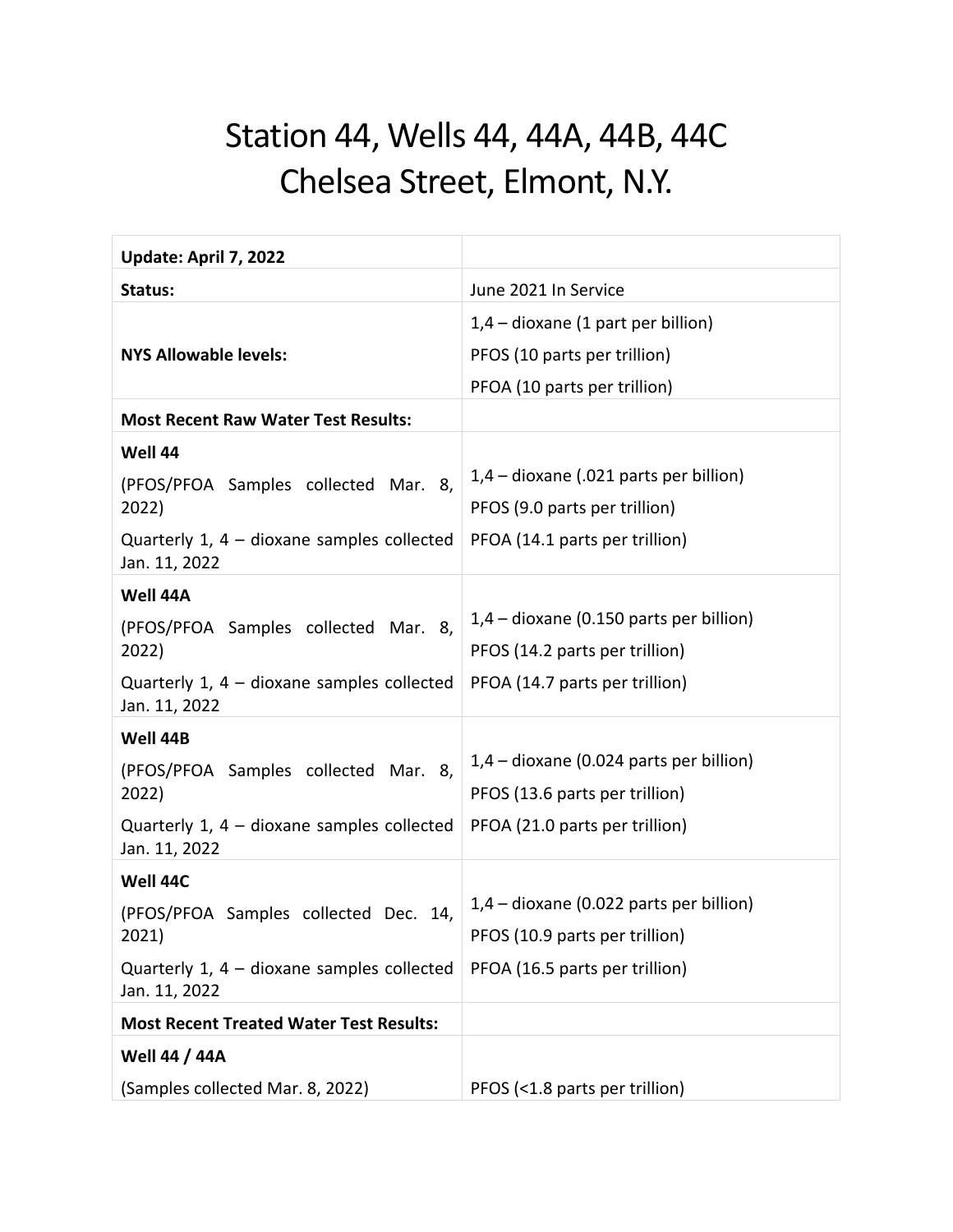## Station 44, Wells 44, 44A, 44B, 44C Chelsea Street, Elmont, N.Y.

| Update: April 7, 2022                                         |                                           |
|---------------------------------------------------------------|-------------------------------------------|
| Status:                                                       | June 2021 In Service                      |
|                                                               | $1,4$ – dioxane (1 part per billion)      |
| <b>NYS Allowable levels:</b>                                  | PFOS (10 parts per trillion)              |
|                                                               | PFOA (10 parts per trillion)              |
| <b>Most Recent Raw Water Test Results:</b>                    |                                           |
| Well 44                                                       |                                           |
| (PFOS/PFOA Samples collected Mar.<br>8,                       | 1,4 – dioxane (.021 parts per billion)    |
| 2022)                                                         | PFOS (9.0 parts per trillion)             |
| Quarterly 1, $4 -$ dioxane samples collected<br>Jan. 11, 2022 | PFOA (14.1 parts per trillion)            |
| Well 44A                                                      |                                           |
| (PFOS/PFOA Samples collected Mar. 8,                          | $1,4$ – dioxane (0.150 parts per billion) |
| 2022)                                                         | PFOS (14.2 parts per trillion)            |
| Quarterly 1, 4 – dioxane samples collected<br>Jan. 11, 2022   | PFOA (14.7 parts per trillion)            |
| Well 44B                                                      |                                           |
| (PFOS/PFOA Samples collected Mar. 8,                          | $1,4$ – dioxane (0.024 parts per billion) |
| 2022)                                                         | PFOS (13.6 parts per trillion)            |
| Quarterly 1, $4 -$ dioxane samples collected<br>Jan. 11, 2022 | PFOA (21.0 parts per trillion)            |
| Well 44C                                                      |                                           |
| (PFOS/PFOA Samples collected Dec. 14,                         | $1,4$ – dioxane (0.022 parts per billion) |
| 2021)                                                         | PFOS (10.9 parts per trillion)            |
| Quarterly $1, 4$ – dioxane samples collected<br>Jan. 11, 2022 | PFOA (16.5 parts per trillion)            |
| <b>Most Recent Treated Water Test Results:</b>                |                                           |
| <b>Well 44 / 44A</b>                                          |                                           |
| (Samples collected Mar. 8, 2022)                              | PFOS (<1.8 parts per trillion)            |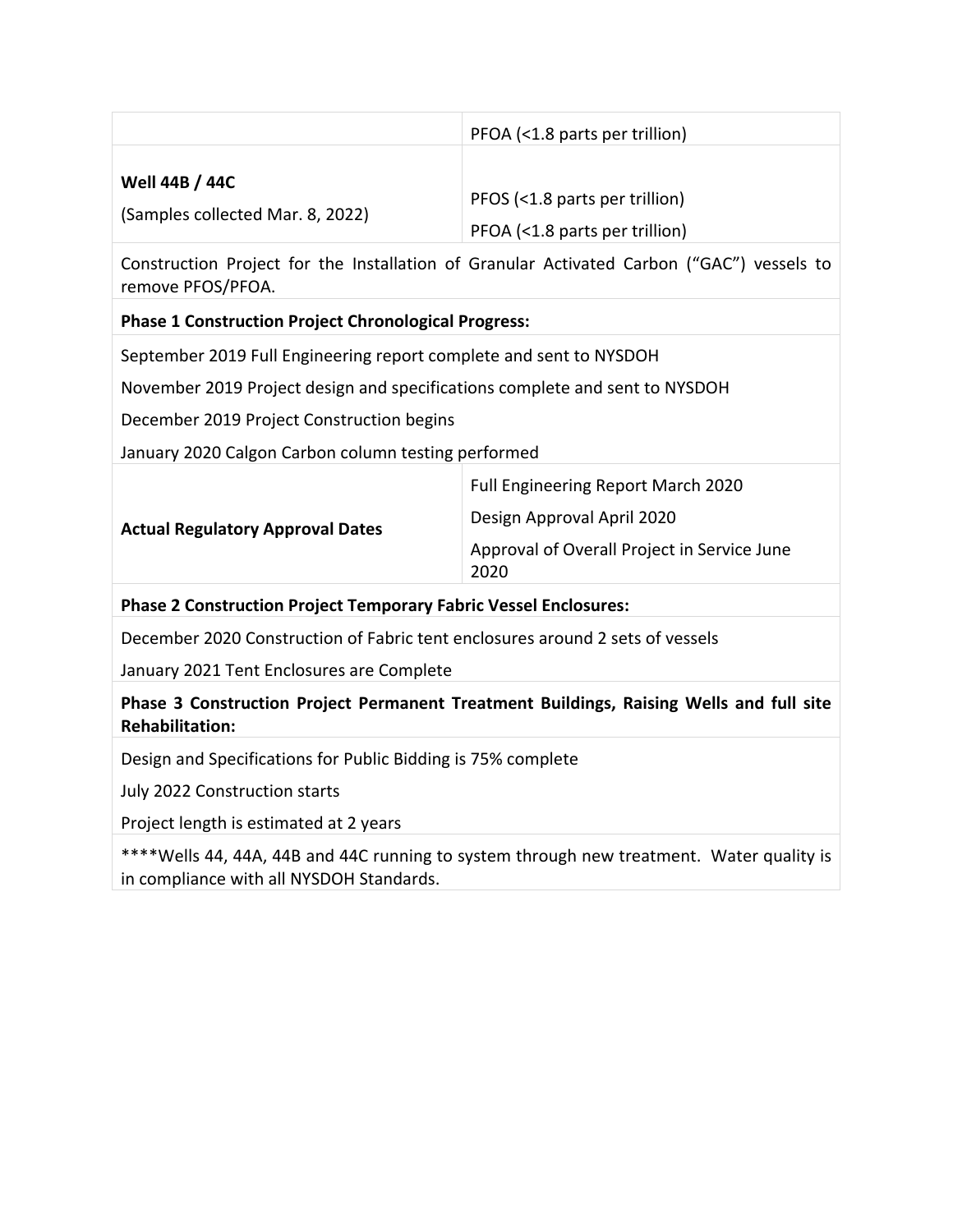|                                  | PFOA (<1.8 parts per trillion) |
|----------------------------------|--------------------------------|
| <b>Well 44B / 44C</b>            | PFOS (<1.8 parts per trillion) |
| (Samples collected Mar. 8, 2022) | PFOA (<1.8 parts per trillion) |

Construction Project for the Installation of Granular Activated Carbon ("GAC") vessels to remove PFOS/PFOA.

### **Phase 1 Construction Project Chronological Progress:**

September 2019 Full Engineering report complete and sent to NYSDOH

November 2019 Project design and specifications complete and sent to NYSDOH

December 2019 Project Construction begins

January 2020 Calgon Carbon column testing performed

| Design Approval April 2020<br><b>Actual Regulatory Approval Dates</b><br>Approval of Overall Project in Service June<br>2020 |  | Full Engineering Report March 2020 |
|------------------------------------------------------------------------------------------------------------------------------|--|------------------------------------|
|                                                                                                                              |  |                                    |
|                                                                                                                              |  |                                    |

#### **Phase 2 Construction Project Temporary Fabric Vessel Enclosures:**

December 2020 Construction of Fabric tent enclosures around 2 sets of vessels

January 2021 Tent Enclosures are Complete

**Phase 3 Construction Project Permanent Treatment Buildings, Raising Wells and full site Rehabilitation:**

Design and Specifications for Public Bidding is 75% complete

July 2022 Construction starts

Project length is estimated at 2 years

\*\*\*\*Wells 44, 44A, 44B and 44C running to system through new treatment. Water quality is in compliance with all NYSDOH Standards.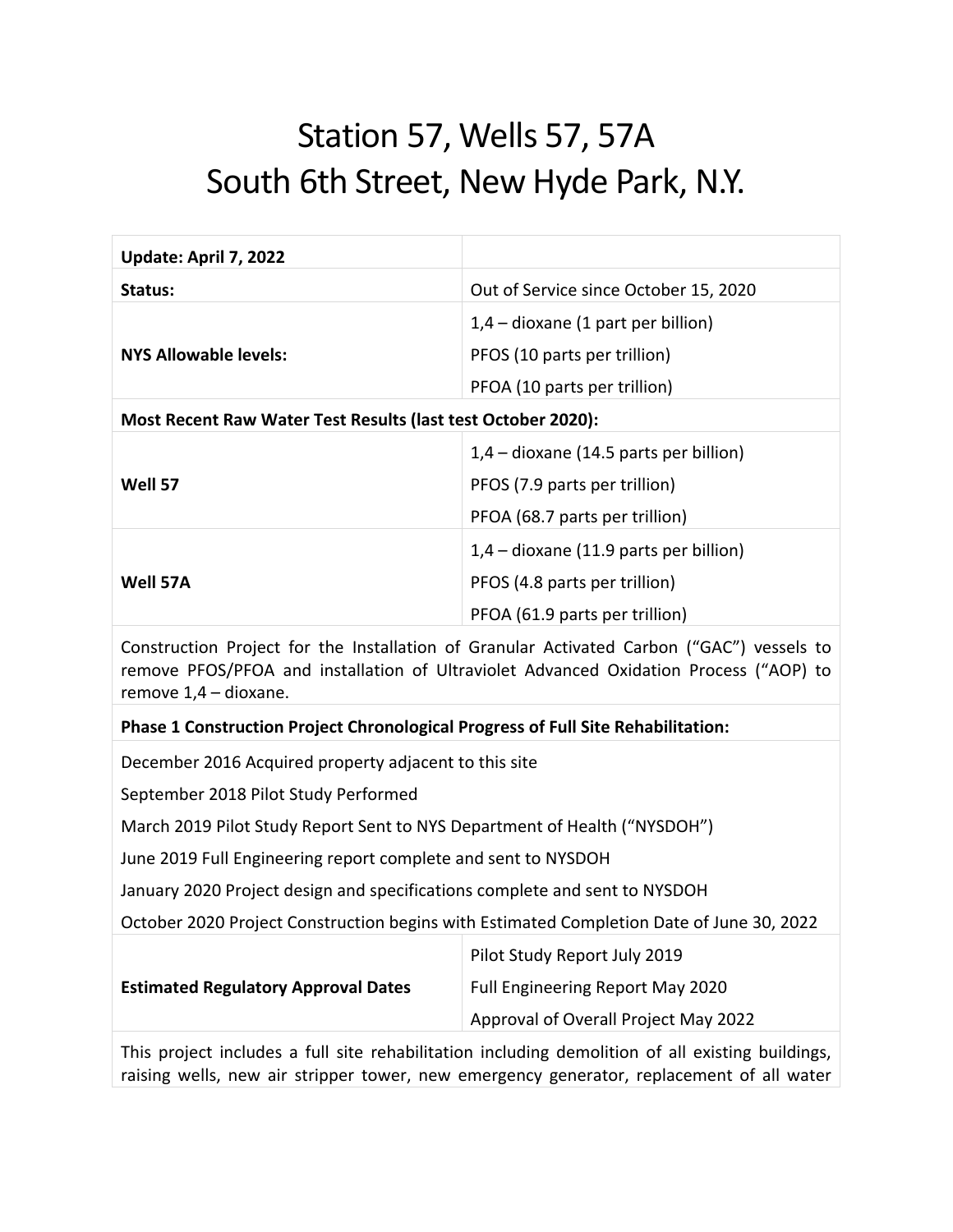## Station 57, Wells 57, 57A South 6th Street, New Hyde Park, N.Y.

| Update: April 7, 2022                                                                                                                                                                                       |                                        |
|-------------------------------------------------------------------------------------------------------------------------------------------------------------------------------------------------------------|----------------------------------------|
| Status:                                                                                                                                                                                                     | Out of Service since October 15, 2020  |
|                                                                                                                                                                                                             | $1,4$ – dioxane (1 part per billion)   |
| <b>NYS Allowable levels:</b>                                                                                                                                                                                | PFOS (10 parts per trillion)           |
|                                                                                                                                                                                                             | PFOA (10 parts per trillion)           |
| Most Recent Raw Water Test Results (last test October 2020):                                                                                                                                                |                                        |
|                                                                                                                                                                                                             | 1,4 - dioxane (14.5 parts per billion) |
| Well 57                                                                                                                                                                                                     | PFOS (7.9 parts per trillion)          |
|                                                                                                                                                                                                             | PFOA (68.7 parts per trillion)         |
|                                                                                                                                                                                                             | 1,4 - dioxane (11.9 parts per billion) |
| Well 57A                                                                                                                                                                                                    | PFOS (4.8 parts per trillion)          |
|                                                                                                                                                                                                             | PFOA (61.9 parts per trillion)         |
| Construction Project for the Installation of Granular Activated Carbon ("GAC") vessels to<br>remove PFOS/PFOA and installation of Ultraviolet Advanced Oxidation Process ("AOP) to<br>remove 1,4 - dioxane. |                                        |
| Phase 1 Construction Project Chronological Progress of Full Site Rehabilitation:                                                                                                                            |                                        |
| December 2016 Acquired property adjacent to this site                                                                                                                                                       |                                        |
| September 2018 Pilot Study Performed                                                                                                                                                                        |                                        |
| March 2019 Pilot Study Report Sent to NYS Department of Health ("NYSDOH")                                                                                                                                   |                                        |
| June 2019 Full Engineering report complete and sent to NYSDOH                                                                                                                                               |                                        |
| January 2020 Project design and specifications complete and sent to NYSDOH                                                                                                                                  |                                        |
| October 2020 Project Construction begins with Estimated Completion Date of June 30, 2022                                                                                                                    |                                        |
|                                                                                                                                                                                                             | Pilot Study Report July 2019           |
| <b>Estimated Regulatory Approval Dates</b>                                                                                                                                                                  | Full Engineering Report May 2020       |
|                                                                                                                                                                                                             | Approval of Overall Project May 2022   |
| This project includes a full site rehabilitation including demolition of all existing buildings,<br>raising wells, new air stripper tower, new emergency generator, replacement of all water                |                                        |